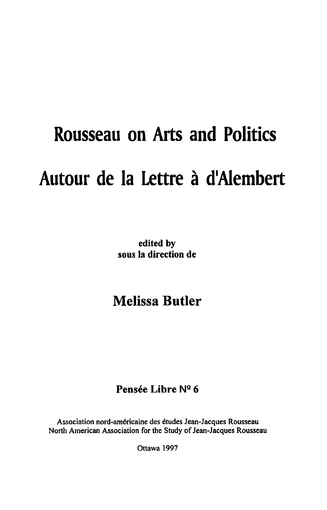# **Rousseau on Arts and Politics Autour de la Lettre a dlAiembert**

edited by sous la direction de

## Melissa **Butler**

### Pensée Libre Nº 6

Association nord-americaine des etudes Jean-Jacques Rousseau North American Association for the Study of Jean-Jacques Rousseau

Ottawa 1997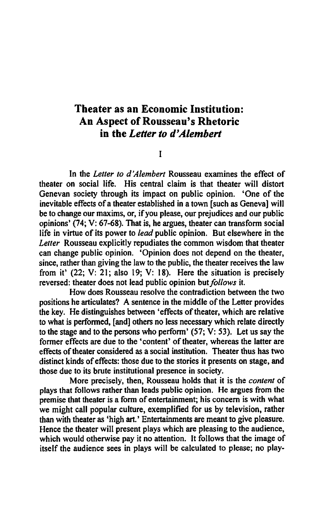### Theater as an Economic Institution: An Aspect of Rousseau's Rhetoric in the *Letter to d'Alembert*

I

In the *LeIter to d 'Alembert* Rousseau examines the effect of theater on social life. His central claim is that theater will distort Genevan society through its impact on public opinion. 'One of the inevitable effects of a theater established in a town [such as Geneva] will be to change our maxims, or, if you please, our prejudices and our public opinions' (74; V: 67-68). That is, he argues, theater can transform social life in virtue of its power to *lead* public opinion. But elsewhere in the *Letter* Rousseau explicitly repudiates the common wisdom that theater can change public opinion. 'Opinion does not depend on the theater, since, rather than giving the law to the public, the theater receives the law from it' (22; V: 21; also 19; V: 18). Here the situation is precisely reversed: theater does not lead public opinion but *follows* it.

How does Rousseau resolve the contradiction between the two positions he articulates? A sentence in the middle of the Letter provides the key. He distinguishes between 'effects of theater, which are relative to what is performed, [and] others no less necessary which relate directly to the stage and to the persons who perform'  $(57; V: 53)$ . Let us say the former effects are due to the 'content' of theater, whereas the latter are effects of theater considered as a social institution. Theater thus has two distinct kinds of effects: those due to the stories it presents on stage, and those due to its brute institutional presence in society.

More precisely, then, Rousseau holds that it is the *content* of plays that follows rather than leads public opinion. He argues from the premise that theater is a form of entertainment; his concern is with what we might call popular culture, exemplified for us by television, rather than with theater as 'high art.' Entertainments are meant to give pleasure. Hence the theater will present plays which are pleasing to the audience, which would otherwise pay it no attention. It follows that the image of itself the audience sees in plays will be calculated to please; no play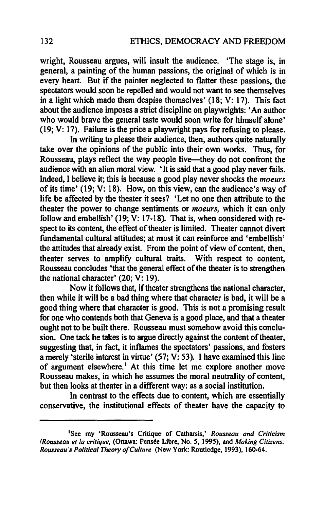wright, Rousseau argues, will insult the audience. 'The stage is, in general, a painting of the human passions, the original of which is in every heart. But if the painter neglected to flatter these passions, the spectators would soon be repelled and would not want to see themselves in a light which made them despise themselves' (18; V: 17). This fact about the audience imposes a strict discipline on playwrights: 'An author who would brave the general taste would soon write for himself alone' (19; V: 17). Failure is the price a playwright pays for refusing to please.

In writing to please their audience, then, authors quite naturally take over the opinions of the public into their own works. Thus, for Rousseau, plays reflect the way people live-they do not confront the audience with an alien moral view. 'It is said that a good play never fails. Indeed, I believe it; this is because a good play never shocks the *moeurs*  of its time' (19; V: 18). How, on this view, can the audience's way of life be affected by the theater it sees? 'Let no one then attribute to the theater the power to change sentiments or *moeurs,* which it can only follow and embellish' (19;  $\overline{V}$ : 17-18). That is, when considered with respect to its content, the effect of theater is limited. Theater cannot divert fundamental cultural attitudes; at most it can reinforce and 'embellish' the attitudes that already exist. From the point of view of content, then, theater serves to amplify cultural traits. With respect to content, Rousseau concludes 'that the general effect of the theater is to strengthen the national character' (20; V: 19).

Now it follows that, if theater strengthens the national character, then while it will be a bad thing where that character is bad, it will be a good thing where that character is good. This is not a promising result for one who contends both that Geneva is a good place, and that a theater ought not to be built there. Rousseau must somehow avoid this conclusion. One tack he takes is to argue directly against the content of theater, suggesting that, in fact, it inflames the spectators' passions, and fosters a merely 'sterile interest in virtue' (57; V: 53). I have examined this line of argument elsewhere.<sup>1</sup> At this time let me explore another move Rousseau makes, in which he assumes the moral neutrality of content, but then looks at theater in a different way: as a social institution.

In contrast to the effects due to content, which are essentially conservative, the institutional effects of theater have the capacity to

<sup>&#</sup>x27;See my 'Rousseau's Critique of Catharsis,' *Rousseau and Criticism IRousseau etla critique,* (Onawa: Penste Libre. No.5, 1995), and *Making Citizens: Rousseau's Political Theory a/Culture* (New York: Routledge, 1993).160-64.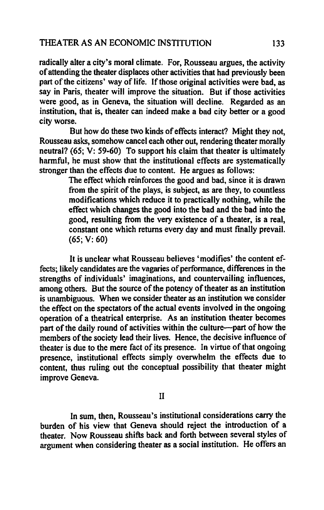radically alter a city's moral climate. For, Rousseau argues, the activity of attending the theater displaces other activities that had previously been part of the citizens' way of life. If those original activities were bad, as say in Paris, theater will improve the situation. But if those activities were good, as in Geneva, the situation will decline. Regarded as an institution, that is, theater can indeed make a bad city better or a good city worse.

But how do these two kinds of effects interact? Might they not, Rousseau asks, somehow cancel each other out, rendering theater morally neutral? (65; V: 59-60) To support his claim that theater is ultimately harmful, he must show that the institutional effects are systematically stronger than the effects due to content. He argues as follows:

> The effect which reinforces the good and bad, since it is drawn from the spirit of the plays, is subject, as are they, to countless modifications which reduce it to practically nothing, while the effect which changes the good into the bad and the bad into the good, resulting from the very existence of a theater, is a real, constant one which returns every day and must finally prevail. (65; V: 60)

It is unclear what Rousseau believes 'modifies' the content effects; likely candidates are the vagaries of performance, differences in the strengths of individuals' imaginations, and countervailing influences, among others. But the source of the potency of theater as an institution is unambiguous. When we consider theater as an institution we consider the effect on the spectators of the actual events involved in the ongoing operation of a theatrical enterprise. As an institution theater becomes part of the daily round of activities within the culture--part of how the members of the society lead their lives. Hence, the decisive influence of theater is due to the mere fact of its presence. In virtue of that ongoing presence, institutional effects simply overwhelm the effects due to content, thus ruling out the conceptual possibility that theater might improve Geneva.

II

In sum, then, Rousseau's institutional considerations carry the burden of his view that Geneva should reject the introduction of a theater. Now Rousseau shifts back and forth between several styles of argument when considering theater as a social institution. He offers an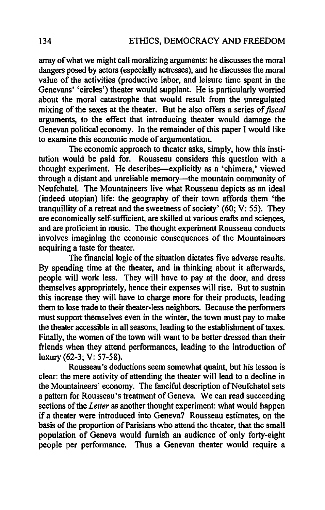array of what we might call moralizing arguments: he discusses the moral dangers posed by actors (especially actresses), and he discusses the moral value of the activities (productive labor, and leisure time spent in the Genevans' 'circles') theater would supplant. He is particularly worried about the moral catastrophe that would result from the unregulated mixing of the sexes at the theater. But he also offers a series of *fiscal*  arguments, to the effect that introducing theater would damage the Genevan political economy. In the remainder of this paper I would like to examine this economic mode of argumentation.

The economic approach to theater asks, simply, how this institution would be paid for. Rousseau considers this question with a thought experiment. He describes-explicitly as a 'chimera,' viewed through a distant and unreliable memory-the mountain community of Neufchatel. The Mountaineers live what Rousseau depicts as an ideal (indeed utopian) life: the geography of their town affords them 'the tranquillity of a retreat and the sweetness of society' (60; V: 55). They are economically self-sufficient, are skilled at various crafts and sciences, and are proficient in music. The thought experiment Rousseau conducts involves imagining the economic consequences of the Mountaineers acquiring a taste for theater.

The financial logic of the situation dictates five adverse results. By spending time at the theater, and in thinking about it afterwards, people will work less. They will have to pay at the door, and dress themselves appropriately, hence their expenses will rise. But to sustain this increase they will have to charge more for their products, leading them to lose trade to their theater-less neighbors. Because the performers must support themselves even in the winter, the town must pay to make the theater accessible in all seasons, leading to the establishment of taxes. Finally, the women of the town will want to be better dressed than their friends when they attend performances, leading to the introduction of lUXury (62-3; V: 57-58).

Rousseau's deductions seem somewhat quaint, but his lesson is clear: the mere activity of attending the theater will lead to a decline in the Mountaineers' economy. The fanciful description of Neufchatel sets a pattern for Rousseau's treatment of Geneva. We can read succeeding sections of the *Letter* as another thought experiment: what would happen if a theater were introduced into Geneva? Rousseau estimates, on the basis of the proportion of Parisians who attend the theater, that the small population of Geneva would furnish an audience of only forty-eight people per performance. Thus a Genevan theater would require a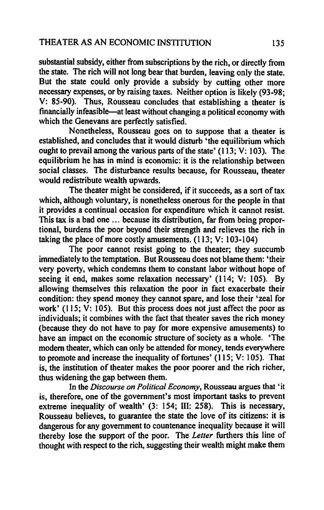substantial subsidy, either from subscriptions by the rich, or directly from the state. The rich will not long bear that burden, leaving only the state. But the state could only provide a subsidy by cutting other more necessary expenses, or by raising taxes. Neither option is likely (93-98; V: 85-90). Thus, Rousseau concludes that establishing a theater is financially infeasible—at least without changing a political economy with which the Genevans are perfectly satisfied.

Nonetheless, Rousseau goes on to suppose that a theater is established, and concludes that it would disturb 'the equilibrium which ought to prevail among the various parts of the state' (113; V: 103). The equilibrium he has in mind is economic: it is the relationship between social classes. The disturbance results because, for Rousseau, theater would redistribute wealth upwards.

The theater might be considered, if it succeeds, as a sort of tax which, although voluntary, is nonetheless onerous for the people in that it provides a continual occasion for expenditure which it cannot resist. This tax is a bad one ... because its distribution, far from being proportional, burdens the poor beyond their strength and relieves the rich in taking the place of more costly amusements. (113; V: 103-104)

The poor cannot resist going to the theater; they succumb immediately to the temptation. But Rousseau does not blame them: 'their very poverty, which condemns them to constant labor without hope of seeing it end, makes some relaxation necessary' (114; V: 105). By allowing themselves this relaxation the poor in fact exacerbate their condition: they spend money they cannot spare, and lose their 'zeal for work' (115; V: 105). But this process does not just affect the poor as individuals; it combines with the fact that theater saves the rich money (because they do not have to pay for more expensive amusements) to have an impact on the economic structure of society as a whole. 'The modern theater, which can only be attended for money, tends everywhere to promote and increase the inequality of fortunes' (115; V: 105). That is, the institution of theater makes the poor poorer and the rich richer, thus widening the gap between them.

In the *Discourse on Political Economy,* Rousseau argues that 'it is, therefore, one of the government's most important tasks to prevent extreme inequality of wealth' (3: 154; III: 258). This is necessary, Rousseau believes, to guarantee the state the love of its citizens: it is dangerous for any government to countenance inequality because it will thereby lose the support of the poor. The *Letter* furthers this line of thought with respect to the rich, suggesting their wealth might make them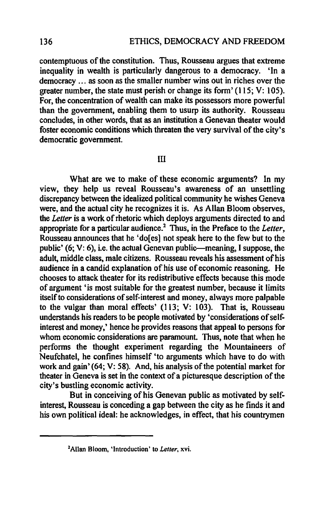contemptuous of the constitution. Thus, Rousseau argues that extreme inequality in wealth is particularly dangerous to a democracy. 'In a democracy ... as soon as the smaller number wins out in riches over the greater number, the state must perish or change its form' (115; V: 105). For, the concentration of wealth can make its possessors more powerful than the government, enabling them to usurp its authority. Rousseau concludes, in other words, that as an institution a Genevan theater would foster economic conditions which threaten the very survival of the city's democratic government.

#### III

What are we to make of these economic arguments? In my view, they help us reveal Rousseau's awareness of an unsettling discrepancy between the idealized political community he wishes Geneva were, and the actual city he recognizes it is. As Allan Bloom observes, the *Letter* is a work of rhetoric which deploys arguments directed to and appropriate for a particular audience.2 Thus, in the Preface to the *Letter,*  Rousseau announces that he 'do[ es] not speak here to the few but to the public'  $(6; V: 6)$ , i.e. the actual Genevan public—meaning, I suppose, the adult, middle class, male citizens. Rousseau reveals his assessment of his audience in a candid explanation of his use of economic reasoning. He chooses to attack theater for its redistributive effects because this mode of argument 'is most suitable for the greatest number, because it limits itself to considerations of self-interest and money, always more palpable to the vulgar than moral effects' (113; V: 103). That is, Rousseau understands his readers to be people motivated by 'considerations of selfinterest and money,' hence he provides reasons that appeal to persons for whom economic considerations are paramount. Thus, note that when he performs the thought experiment regarding the Mountaineers of Neufchatel, he confines himself 'to arguments which have to do with work and gain' (64; V: 58). And, his analysis of the potential market for theater in Geneva is set in the context of a picturesque description of the city's bustling economic activity.

But in conceiving of his Genevan public as motivated by selfinterest, Rousseau is conceding a gap between the city as he fmds it and his own political ideal: he acknowledges, in effect, that his countrymen

<sup>2</sup>Allan Bloom, 'Introduction' to *Letter,* xvi.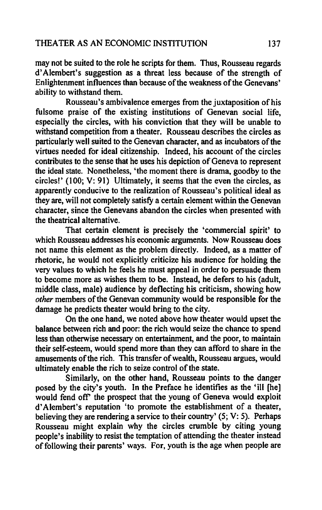may not be suited to the role he scripts for them. Thus, Rousseau regards d' Alembert's suggestion as a threat less because of the strength of Enlightenment influences than because of the weakness of the Genevans' ability to withstand them.

Rousseau's ambivalence emerges from the juxtaposition of his fulsome praise of the existing institutions of Genevan social life, especially the circles, with his conviction that they will be unable to withstand competition from a theater. Rousseau describes the circles as particularly well suited to the Genevan character, and as incubators of the virtues needed for ideal citizenship. Indeed, his account of the circles contributes to the sense that he uses his depiction of Geneva to represent the ideal state. Nonetheless, 'the moment there is drama, goodby to the circles!' (100; V: 91) Ultimately, it seems that the even the circles, as apparently conducive to the realization of Rousseau's political ideal as they are, will not completely satisfy a certain element within the Genevan character, since the Genevans abandon the circles when presented with the theatrical alternative.

That certain element is precisely the 'commercial spirit' to which Rousseau addresses his economic arguments. Now Rousseau does not name this element as the problem directly. Indeed, as a matter of rhetoric, he would not explicitly criticize his audience for holding the very values to which he feels he must appeal in order to persuade them to become more as wishes them to be. Instead, he defers to his (adult, middle class, male) audience by deflecting his criticism, showing how *other* members of the Genevan community would be responsible for the damage he predicts theater would bring to the city.

On the one hand, we noted above how theater would upset the balance between rich and poor: the rich would seize the chance to spend less than otherwise necessary on entertainment, and the poor, to maintain their self-esteem, would spend more than they can afford to share in the amusements of the rich. This transfer of wealth, Rousseau argues, would ultimately enable the rich to seize control of the state.

Similarly, on the other hand, Rousseau points to the danger posed by the city's youth. In the Preface he identifies as the 'ill [he] would fend off' the prospect that the young of Geneva would exploit d' Alembert's reputation 'to promote the establishment of a theater, believing they are rendering a service to their country'  $(5; V: 5)$ . Perhaps Rousseau might explain why the circles crumble by citing young people's inability to resist the temptation of attending the theater instead of following their parents' ways. For, youth is the age when people are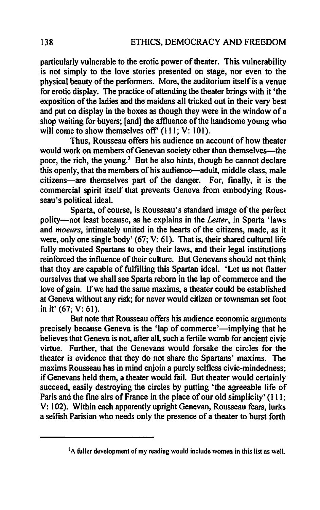particularly wlnerable to the erotic power of theater. This vulnerability is not simply to the love stories presented on stage, nor even to the physical beauty of the performers. More, the auditorium itself is a venue for erotic display. The practice of attending the theater brings with it 'the exposition of the ladies and the maidens all tricked out in their very best and put on display in the boxes as though they were in the window of a shop waiting for buyers; [and] the aftluence of the handsome young who will come to show themselves off' (111; V: 101).

Thus, Rousseau offers his audience an account of how theater would work on members of Genevan society other than themselves-the poor, the rich, the young.<sup>3</sup> But he also hints, though he cannot declare this openly, that the members of his audience-adult, middle class, male citizens-are themselves part of the danger. For, finally, it is the commercial spirit itself that prevents Geneva from embodying Rousseau's political ideal.

Sparta, of course, is Rousseau's standard image of the perfect polity-not least because, as he explains in the *Letter,* in Sparta 'laws and *moeurs,* intimately united in the hearts of the citizens, made, as it were, only one single body' (67; V: 61). That is, their shared cultural life fully motivated Spartans to obey their laws, and their legal institutions reinforced the influence of their culture. But Genevans should not think that they are capable of fulfilling this Spartan ideal. 'Let us not flatter ourselves that we shall see Sparta reborn in the lap of commerce and the love of gain. If we had the same maxims, a theater could be established at Geneva without any risk; for never would citizen or townsman set foot in it' (67; V: 61).

But note that Rousseau offers his audience economic arguments precisely because Geneva is the 'lap of commerce'—implying that he believes that Geneva is not, after all, such a fertile womb for ancient civic virtue. Further, that the Genevans would forsake the circles for the theater is evidence that they do not share the Spartans' maxims. The maxims Rousseau has in mind enioin a purely selfless civic-mindedness; if Genevans held them, a theater would fail. But theater would certainly succeed, easily destroying the circles by putting 'the agreeable life of Paris and the fine airs of France in the place of our old simplicity' (111; V: 102). Within each apparently upright Genevan, Rousseau fears, lurks a selfish Parisian who needs only the presence of a theater to burst forth

<sup>&</sup>lt;sup>3</sup>A fuller development of my reading would include women in this list as well.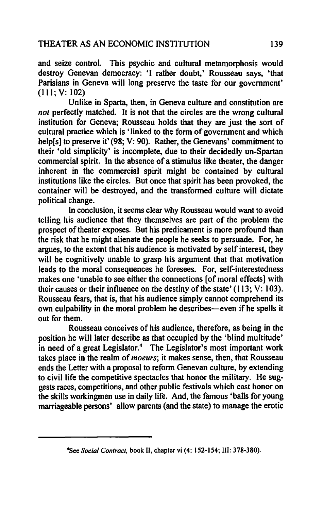and seize control. This psychic and cultural metamorphosis would destroy Genevan democracy: 'I rather doubt,' Rousseau says, 'that Parisians in Geneva will long preserve the taste for our government' (111; V: 102)

Unlike in Sparta, then, in Geneva culture and constitution are *not* perfectly matched. It is not that the circles are the wrong cultural institution for Geneva; Rousseau holds that they are just the sort of cultural practice which is 'linked to the form of government and which help[s] to preserve it' (98; V: 90). Rather, the Genevans' commitment to their 'old simplicity' is incomplete, due to their decidedly un-Spartan commercial spirit. In the absence of a stimulus like theater, the danger inherent in the commercial spirit might be contained by cultural institutions like the circles. But once that spirit has been provoked, the container will be destroyed, and the transformed culture will dictate political change.

In conclusion, it seems clear why Rousseau would want to avoid telling his audience that they themselves are part of the problem the prospect of theater exposes. But his predicament is more profound than the risk that he might alienate the people he seeks to persuade. For, he argues, to the extent that his audience is motivated by self interest, they will be cognitively unable to grasp his argument that that motivation leads to the moral consequences he foresees. For, self-interestedness makes one 'unable to see either the connections [of moral effects] with their causes or their influence on the destiny of the state' (113; V: 103). Rousseau fears, that is, that his audience simply cannot comprehend its own culpability in the moral problem he describes-even if he spells it out for them.

Rousseau conceives of his audience, therefore, as being in the position he will later describe as that occupied by the 'blind multitude' in need of a great Legislator.<sup>4</sup> The Legislator's most important work takes place in the realm of *moeurs;* it makes sense, then, that Rousseau ends the Letter with a proposal to reform Genevan culture, by extending to civil life the competitive spectacles that honor the military. He suggests races, competitions, and other public festivals which cast honor on the skills workingmen use in daily life. And, the famous 'balls for young marriageable persons' allow parents (and the state) to manage the erotic

<sup>·</sup>See *Social Contract.* book II, chapter vi (4: 152-154; III: 378-380).